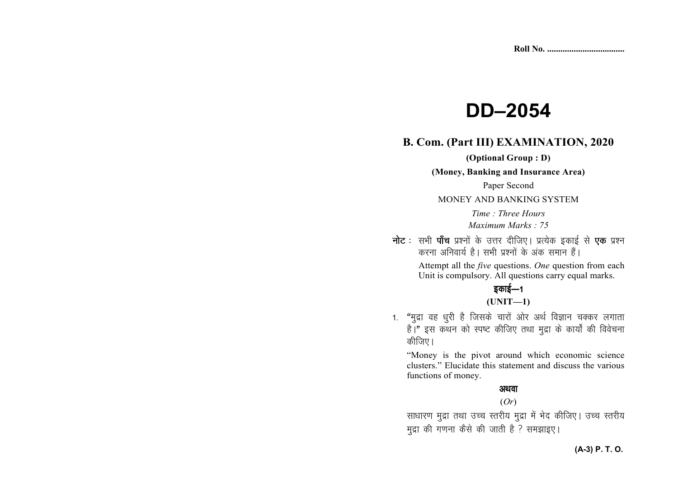# **DD–2054**

### **B. Com. (Part III) EXAMINATION, 2020**

**(Optional Group : D)** 

**(Money, Banking and Insurance Area)** 

Paper Second

MONEY AND BANKING SYSTEM

*Time : Three Hours Maximum Marks : 75* 

**नोट** : सभी **पाँच** प्रश्नों के उत्तर दीजिए। प्रत्येक इकाई से **एक** प्रश्न करना अनिवार्य है। सभी प्रश्नों के अंक समान हैं। Attempt all the *five* questions. *One* question from each Unit is compulsory. All questions carry equal marks.

इकाई—1

#### **(UNIT—1)**

1. "मुद्रा वह धुरी है जिसके चारों ओर अर्थ विज्ञान चक्कर लगाता है।" इस कथन को स्पष्ट कीजिए तथा मुद्रा के कार्यों की विवेचना कीजिए।

"Money is the pivot around which economic science clusters." Elucidate this statement and discuss the various functions of money.

#### अथवा

#### (*Or*)

साधारण मुद्रा तथा उच्च स्तरीय मुद्रा में भेद कीजिए। उच्च स्तरीय मुद्रा की गणना कैसे की जाती है ? समझाइए।

#### **(A-3) P. T. O.**